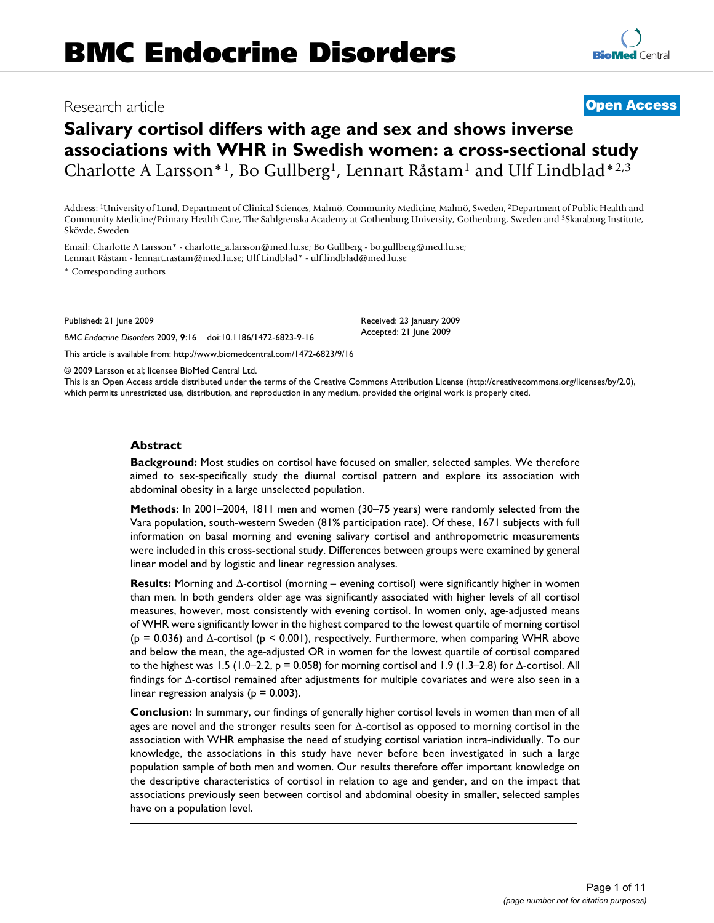# Research article **[Open Access](http://www.biomedcentral.com/info/about/charter/)**

# **Salivary cortisol differs with age and sex and shows inverse associations with WHR in Swedish women: a cross-sectional study** Charlotte A Larsson\*<sup>1</sup>, Bo Gullberg<sup>1</sup>, Lennart Råstam<sup>1</sup> and Ulf Lindblad\*<sup>2,3</sup>

Address: 1University of Lund, Department of Clinical Sciences, Malmö, Community Medicine, Malmö, Sweden, 2Department of Public Health and Community Medicine/Primary Health Care, The Sahlgrenska Academy at Gothenburg University, Gothenburg, Sweden and 3Skaraborg Institute, Skövde, Sweden

Email: Charlotte A Larsson \* - charlotte\_a.larsson@med.lu.se; Bo Gullberg - bo.gullberg@med.lu.se; Lennart Råstam - lennart.rastam@med.lu.se; Ulf Lindblad\* - ulf.lindblad@med.lu.se

\* Corresponding authors

Published: 21 June 2009

*BMC Endocrine Disorders* 2009, **9**:16 doi:10.1186/1472-6823-9-16

[This article is available from: http://www.biomedcentral.com/1472-6823/9/16](http://www.biomedcentral.com/1472-6823/9/16)

© 2009 Larsson et al; licensee BioMed Central Ltd.

This is an Open Access article distributed under the terms of the Creative Commons Attribution License [\(http://creativecommons.org/licenses/by/2.0\)](http://creativecommons.org/licenses/by/2.0), which permits unrestricted use, distribution, and reproduction in any medium, provided the original work is properly cited.

#### **Abstract**

**Background:** Most studies on cortisol have focused on smaller, selected samples. We therefore aimed to sex-specifically study the diurnal cortisol pattern and explore its association with abdominal obesity in a large unselected population.

**Methods:** In 2001–2004, 1811 men and women (30–75 years) were randomly selected from the Vara population, south-western Sweden (81% participation rate). Of these, 1671 subjects with full information on basal morning and evening salivary cortisol and anthropometric measurements were included in this cross-sectional study. Differences between groups were examined by general linear model and by logistic and linear regression analyses.

Results: Morning and  $\Delta$ -cortisol (morning – evening cortisol) were significantly higher in women than men. In both genders older age was significantly associated with higher levels of all cortisol measures, however, most consistently with evening cortisol. In women only, age-adjusted means of WHR were significantly lower in the highest compared to the lowest quartile of morning cortisol ( $p = 0.036$ ) and  $\triangle$ -cortisol ( $p \le 0.001$ ), respectively. Furthermore, when comparing WHR above and below the mean, the age-adjusted OR in women for the lowest quartile of cortisol compared to the highest was 1.5 (1.0–2.2,  $p = 0.058$ ) for morning cortisol and 1.9 (1.3–2.8) for  $\Delta$ -cortisol. All findings for  $\Delta$ -cortisol remained after adjustments for multiple covariates and were also seen in a linear regression analysis ( $p = 0.003$ ).

**Conclusion:** In summary, our findings of generally higher cortisol levels in women than men of all ages are novel and the stronger results seen for  $\Delta$ -cortisol as opposed to morning cortisol in the association with WHR emphasise the need of studying cortisol variation intra-individually. To our knowledge, the associations in this study have never before been investigated in such a large population sample of both men and women. Our results therefore offer important knowledge on the descriptive characteristics of cortisol in relation to age and gender, and on the impact that associations previously seen between cortisol and abdominal obesity in smaller, selected samples have on a population level.



Received: 23 January 2009 Accepted: 21 June 2009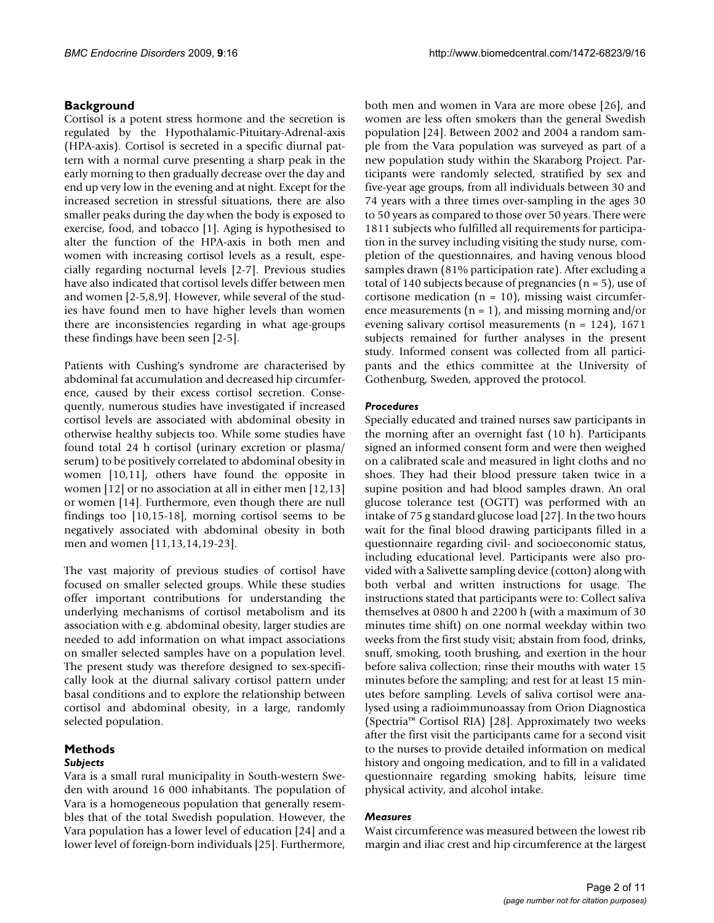## **Background**

Cortisol is a potent stress hormone and the secretion is regulated by the Hypothalamic-Pituitary-Adrenal-axis (HPA-axis). Cortisol is secreted in a specific diurnal pattern with a normal curve presenting a sharp peak in the early morning to then gradually decrease over the day and end up very low in the evening and at night. Except for the increased secretion in stressful situations, there are also smaller peaks during the day when the body is exposed to exercise, food, and tobacco [\[1\]](#page-9-0). Aging is hypothesised to alter the function of the HPA-axis in both men and women with increasing cortisol levels as a result, especially regarding nocturnal levels [\[2-](#page-9-1)[7](#page-9-2)]. Previous studies have also indicated that cortisol levels differ between men and women [\[2-](#page-9-1)[5](#page-9-3)[,8](#page-9-4)[,9\]](#page-10-0). However, while several of the studies have found men to have higher levels than women there are inconsistencies regarding in what age-groups these findings have been seen [[2](#page-9-1)[-5\]](#page-9-3).

Patients with Cushing's syndrome are characterised by abdominal fat accumulation and decreased hip circumference, caused by their excess cortisol secretion. Consequently, numerous studies have investigated if increased cortisol levels are associated with abdominal obesity in otherwise healthy subjects too. While some studies have found total 24 h cortisol (urinary excretion or plasma/ serum) to be positively correlated to abdominal obesity in women [[10,](#page-10-1)[11\]](#page-10-2), others have found the opposite in women [[12](#page-10-3)] or no association at all in either men [[12](#page-10-3),[13\]](#page-10-4) or women [\[14](#page-10-5)]. Furthermore, even though there are null findings too [[10](#page-10-1),[15-](#page-10-6)[18\]](#page-10-7), morning cortisol seems to be negatively associated with abdominal obesity in both men and women [[11,](#page-10-2)[13](#page-10-4),[14](#page-10-5),[19-](#page-10-8)[23\]](#page-10-9).

The vast majority of previous studies of cortisol have focused on smaller selected groups. While these studies offer important contributions for understanding the underlying mechanisms of cortisol metabolism and its association with e.g. abdominal obesity, larger studies are needed to add information on what impact associations on smaller selected samples have on a population level. The present study was therefore designed to sex-specifically look at the diurnal salivary cortisol pattern under basal conditions and to explore the relationship between cortisol and abdominal obesity, in a large, randomly selected population.

# **Methods**

## *Subjects*

Vara is a small rural municipality in South-western Sweden with around 16 000 inhabitants. The population of Vara is a homogeneous population that generally resembles that of the total Swedish population. However, the Vara population has a lower level of education [\[24](#page-10-10)] and a lower level of foreign-born individuals [[25\]](#page-10-11). Furthermore,

both men and women in Vara are more obese [\[26\]](#page-10-12), and women are less often smokers than the general Swedish population [\[24](#page-10-10)]. Between 2002 and 2004 a random sample from the Vara population was surveyed as part of a new population study within the Skaraborg Project. Participants were randomly selected, stratified by sex and five-year age groups, from all individuals between 30 and 74 years with a three times over-sampling in the ages 30 to 50 years as compared to those over 50 years. There were 1811 subjects who fulfilled all requirements for participation in the survey including visiting the study nurse, completion of the questionnaires, and having venous blood samples drawn (81% participation rate). After excluding a total of 140 subjects because of pregnancies ( $n = 5$ ), use of cortisone medication  $(n = 10)$ , missing waist circumference measurements ( $n = 1$ ), and missing morning and/or evening salivary cortisol measurements  $(n = 124)$ , 1671 subjects remained for further analyses in the present study. Informed consent was collected from all participants and the ethics committee at the University of Gothenburg, Sweden, approved the protocol.

#### *Procedures*

Specially educated and trained nurses saw participants in the morning after an overnight fast (10 h). Participants signed an informed consent form and were then weighed on a calibrated scale and measured in light cloths and no shoes. They had their blood pressure taken twice in a supine position and had blood samples drawn. An oral glucose tolerance test (OGTT) was performed with an intake of 75 g standard glucose load [[27\]](#page-10-13). In the two hours wait for the final blood drawing participants filled in a questionnaire regarding civil- and socioeconomic status, including educational level. Participants were also provided with a Salivette sampling device (cotton) along with both verbal and written instructions for usage. The instructions stated that participants were to: Collect saliva themselves at 0800 h and 2200 h (with a maximum of 30 minutes time shift) on one normal weekday within two weeks from the first study visit; abstain from food, drinks, snuff, smoking, tooth brushing, and exertion in the hour before saliva collection; rinse their mouths with water 15 minutes before the sampling; and rest for at least 15 minutes before sampling. Levels of saliva cortisol were analysed using a radioimmunoassay from Orion Diagnostica (Spectria™ Cortisol RIA) [\[28](#page-10-14)]. Approximately two weeks after the first visit the participants came for a second visit to the nurses to provide detailed information on medical history and ongoing medication, and to fill in a validated questionnaire regarding smoking habits, leisure time physical activity, and alcohol intake.

### *Measures*

Waist circumference was measured between the lowest rib margin and iliac crest and hip circumference at the largest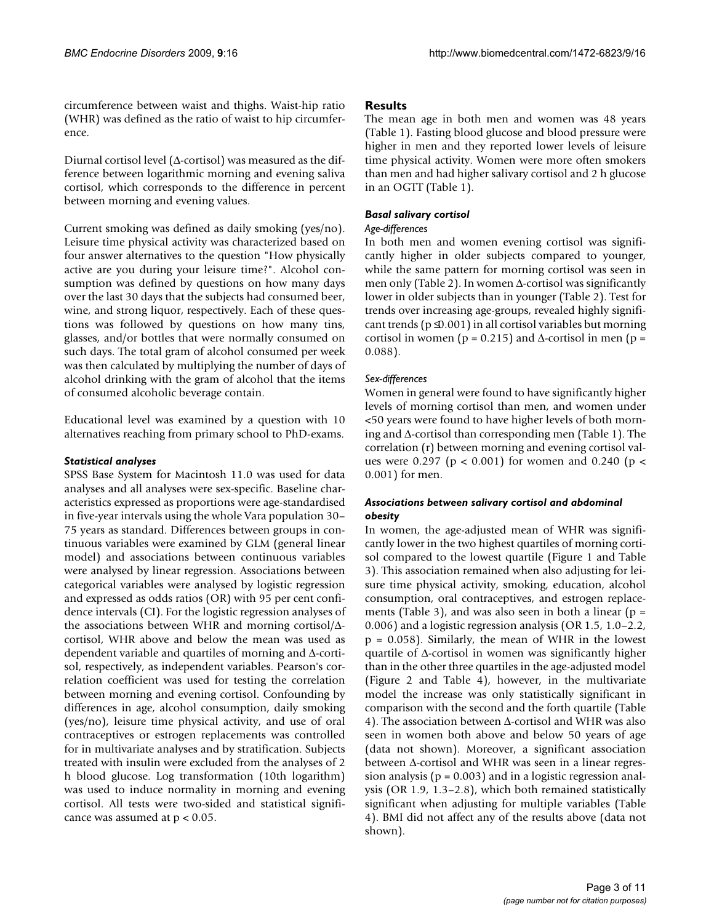circumference between waist and thighs. Waist-hip ratio (WHR) was defined as the ratio of waist to hip circumference.

Diurnal cortisol level ( $\Delta$ -cortisol) was measured as the difference between logarithmic morning and evening saliva cortisol, which corresponds to the difference in percent between morning and evening values.

Current smoking was defined as daily smoking (yes/no). Leisure time physical activity was characterized based on four answer alternatives to the question "How physically active are you during your leisure time?". Alcohol consumption was defined by questions on how many days over the last 30 days that the subjects had consumed beer, wine, and strong liquor, respectively. Each of these questions was followed by questions on how many tins, glasses, and/or bottles that were normally consumed on such days. The total gram of alcohol consumed per week was then calculated by multiplying the number of days of alcohol drinking with the gram of alcohol that the items of consumed alcoholic beverage contain.

Educational level was examined by a question with 10 alternatives reaching from primary school to PhD-exams.

#### *Statistical analyses*

SPSS Base System for Macintosh 11.0 was used for data analyses and all analyses were sex-specific. Baseline characteristics expressed as proportions were age-standardised in five-year intervals using the whole Vara population 30– 75 years as standard. Differences between groups in continuous variables were examined by GLM (general linear model) and associations between continuous variables were analysed by linear regression. Associations between categorical variables were analysed by logistic regression and expressed as odds ratios (OR) with 95 per cent confidence intervals (CI). For the logistic regression analyses of the associations between WHR and morning cortisol/ $\Delta$ cortisol, WHR above and below the mean was used as dependent variable and quartiles of morning and  $\Delta$ -cortisol, respectively, as independent variables. Pearson's correlation coefficient was used for testing the correlation between morning and evening cortisol. Confounding by differences in age, alcohol consumption, daily smoking (yes/no), leisure time physical activity, and use of oral contraceptives or estrogen replacements was controlled for in multivariate analyses and by stratification. Subjects treated with insulin were excluded from the analyses of 2 h blood glucose. Log transformation (10th logarithm) was used to induce normality in morning and evening cortisol. All tests were two-sided and statistical significance was assumed at  $p < 0.05$ .

#### **Results**

The mean age in both men and women was 48 years (Table [1\)](#page-3-0). Fasting blood glucose and blood pressure were higher in men and they reported lower levels of leisure time physical activity. Women were more often smokers than men and had higher salivary cortisol and 2 h glucose in an OGTT (Table [1](#page-3-0)).

#### *Basal salivary cortisol*

#### *Age-differences*

In both men and women evening cortisol was significantly higher in older subjects compared to younger, while the same pattern for morning cortisol was seen in men only (Table [2](#page-4-0)). In women  $\Delta$ -cortisol was significantly lower in older subjects than in younger (Table [2](#page-4-0)). Test for trends over increasing age-groups, revealed highly significant trends ( $p \trianglelefteq 0.001$ ) in all cortisol variables but morning cortisol in women ( $p = 0.215$ ) and  $\Delta$ -cortisol in men ( $p =$ 0.088).

#### *Sex-differences*

Women in general were found to have significantly higher levels of morning cortisol than men, and women under <50 years were found to have higher levels of both morning and  $\Delta$ -cortisol than corresponding men (Table [1\)](#page-3-0). The correlation (r) between morning and evening cortisol values were 0.297 ( $p < 0.001$ ) for women and 0.240 ( $p <$ 0.001) for men.

#### *Associations between salivary cortisol and abdominal obesity*

In women, the age-adjusted mean of WHR was significantly lower in the two highest quartiles of morning cortisol compared to the lowest quartile (Figure [1](#page-6-0) and Table [3](#page-4-1)). This association remained when also adjusting for leisure time physical activity, smoking, education, alcohol consumption, oral contraceptives, and estrogen replace-ments (Table [3](#page-4-1)), and was also seen in both a linear ( $p =$ 0.006) and a logistic regression analysis (OR 1.5, 1.0–2.2,  $p = 0.058$ ). Similarly, the mean of WHR in the lowest quartile of  $\Delta$ -cortisol in women was significantly higher than in the other three quartiles in the age-adjusted model (Figure [2](#page-7-0) and Table [4\)](#page-5-0), however, in the multivariate model the increase was only statistically significant in comparison with the second and the forth quartile (Table [4](#page-5-0)). The association between  $\Delta$ -cortisol and WHR was also seen in women both above and below 50 years of age (data not shown). Moreover, a significant association between  $\Delta$ -cortisol and WHR was seen in a linear regression analysis ( $p = 0.003$ ) and in a logistic regression analysis (OR 1.9, 1.3–2.8), which both remained statistically significant when adjusting for multiple variables (Table [4](#page-5-0)). BMI did not affect any of the results above (data not shown).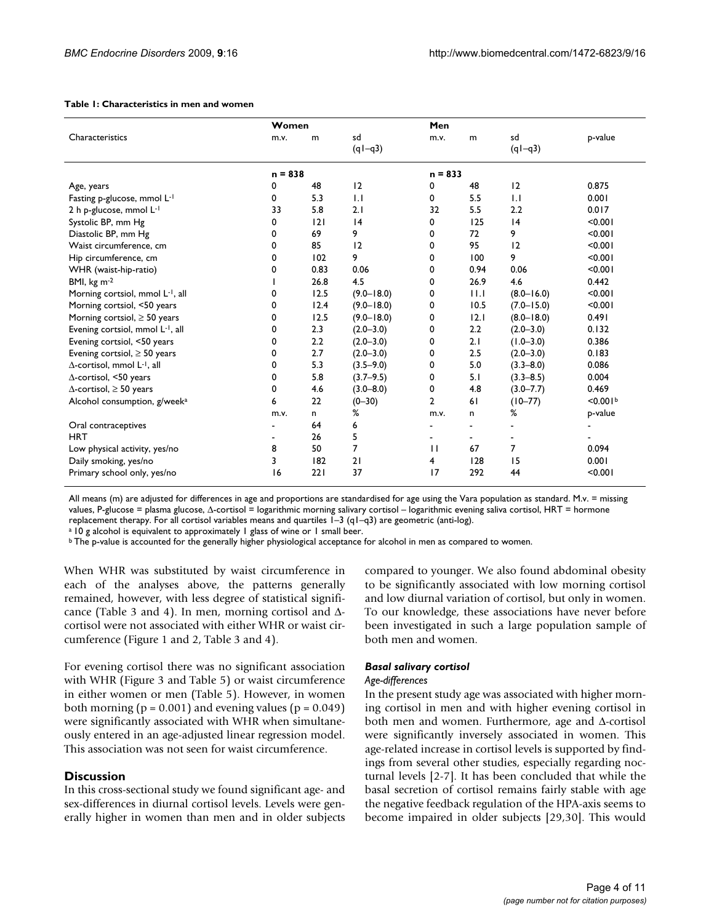#### <span id="page-3-0"></span>**Table 1: Characteristics in men and women**

|                                                | Women     |      |                 | Men          |      |                 |                      |
|------------------------------------------------|-----------|------|-----------------|--------------|------|-----------------|----------------------|
| Characteristics                                | m.v.      | m    | sd<br>$(q1-q3)$ | m.v.         | m    | sd<br>$(q1-q3)$ | p-value              |
|                                                |           |      |                 |              |      |                 |                      |
|                                                | $n = 838$ |      |                 | $n = 833$    |      |                 |                      |
| Age, years                                     | 0         | 48   | 12              | 0            | 48   | 12              | 0.875                |
| Fasting p-glucose, mmol L-1                    | 0         | 5.3  | 1.1             | 0            | 5.5  | 1.1             | 0.001                |
| 2 h p-glucose, mmol L-1                        | 33        | 5.8  | 2.1             | 32           | 5.5  | 2.2             | 0.017                |
| Systolic BP, mm Hg                             | 0         | 2    | 4               | 0            | 125  | 4               | < 0.001              |
| Diastolic BP, mm Hg                            | 0         | 69   | 9               | 0            | 72   | 9               | < 0.001              |
| Waist circumference, cm                        | 0         | 85   | 12              | 0            | 95   | 12              | < 0.001              |
| Hip circumference, cm                          | 0         | 102  | 9               | 0            | 100  | 9               | < 0.001              |
| WHR (waist-hip-ratio)                          | 0         | 0.83 | 0.06            | 0            | 0.94 | 0.06            | < 0.001              |
| BMI, kg m <sup>-2</sup>                        |           | 26.8 | 4.5             | 0            | 26.9 | 4.6             | 0.442                |
| Morning cortsiol, mmol L-1, all                | 0         | 12.5 | $(9.0 - 18.0)$  | 0            | 11.1 | $(8.0 - 16.0)$  | < 0.001              |
| Morning cortsiol, <50 years                    | 0         | 12.4 | $(9.0 - 18.0)$  | 0            | 10.5 | $(7.0 - 15.0)$  | < 0.001              |
| Morning cortsiol, $\geq$ 50 years              | 0         | 12.5 | $(9.0 - 18.0)$  | 0            | 12.1 | $(8.0 - 18.0)$  | 0.491                |
| Evening cortsiol, mmol L-1, all                | 0         | 2.3  | $(2.0 - 3.0)$   | 0            | 2.2  | $(2.0 - 3.0)$   | 0.132                |
| Evening cortsiol, <50 years                    | 0         | 2.2  | $(2.0 - 3.0)$   | 0            | 2.1  | $(1.0 - 3.0)$   | 0.386                |
| Evening cortsiol, $\geq$ 50 years              | 0         | 2.7  | $(2.0 - 3.0)$   | 0            | 2.5  | $(2.0 - 3.0)$   | 0.183                |
| $\Delta$ -cortisol, mmol L <sup>-1</sup> , all | 0         | 5.3  | $(3.5 - 9.0)$   | 0            | 5.0  | $(3.3 - 8.0)$   | 0.086                |
| $\Delta$ -cortisol, <50 years                  | 0         | 5.8  | $(3.7 - 9.5)$   | 0            | 5.1  | $(3.3 - 8.5)$   | 0.004                |
| $\Delta$ -cortisol, $\geq$ 50 years            | 0         | 4.6  | $(3.0 - 8.0)$   | 0            | 4.8  | $(3.0 - 7.7)$   | 0.469                |
| Alcohol consumption, g/week <sup>a</sup>       | 6         | 22   | $(0 - 30)$      | 2            | 61   | $(10 - 77)$     | < 0.001 <sup>b</sup> |
|                                                | m.v.      | n    | %               | m.v.         | n    | %               | p-value              |
| Oral contraceptives                            |           | 64   | 6               |              |      |                 |                      |
| <b>HRT</b>                                     |           | 26   | 5               |              |      |                 |                      |
| Low physical activity, yes/no                  | 8         | 50   | 7               | $\mathbf{H}$ | 67   | 7               | 0.094                |
| Daily smoking, yes/no                          | 3         | 182  | 21              | 4            | 128  | 15              | 0.001                |
| Primary school only, yes/no                    | 16        | 221  | 37              | 17           | 292  | 44              | < 0.001              |

All means (m) are adjusted for differences in age and proportions are standardised for age using the Vara population as standard. M.v. = missing values, P-glucose = plasma glucose, D-cortisol = logarithmic morning salivary cortisol – logarithmic evening saliva cortisol, HRT = hormone replacement therapy. For all cortisol variables means and quartiles  $1-3$  (q1-q3) are geometric (anti-log).

<sup>a</sup> 10 g alcohol is equivalent to approximately 1 glass of wine or 1 small beer.

<sup>b</sup> The p-value is accounted for the generally higher physiological acceptance for alcohol in men as compared to women.

When WHR was substituted by waist circumference in each of the analyses above, the patterns generally remained, however, with less degree of statistical signifi-cance (Table [3](#page-4-1) and [4\)](#page-5-0). In men, morning cortisol and  $\Delta$ cortisol were not associated with either WHR or waist circumference (Figure [1](#page-6-0) and [2](#page-7-0), Table [3](#page-4-1) and [4\)](#page-5-0).

For evening cortisol there was no significant association with WHR (Figure [3](#page-9-5) and Table [5\)](#page-8-0) or waist circumference in either women or men (Table [5](#page-8-0)). However, in women both morning  $(p = 0.001)$  and evening values  $(p = 0.049)$ were significantly associated with WHR when simultaneously entered in an age-adjusted linear regression model. This association was not seen for waist circumference.

#### **Discussion**

In this cross-sectional study we found significant age- and sex-differences in diurnal cortisol levels. Levels were generally higher in women than men and in older subjects compared to younger. We also found abdominal obesity to be significantly associated with low morning cortisol and low diurnal variation of cortisol, but only in women. To our knowledge, these associations have never before been investigated in such a large population sample of both men and women.

#### *Basal salivary cortisol*

#### *Age-differences*

In the present study age was associated with higher morning cortisol in men and with higher evening cortisol in both men and women. Furthermore, age and  $\Delta$ -cortisol were significantly inversely associated in women. This age-related increase in cortisol levels is supported by findings from several other studies, especially regarding nocturnal levels [\[2-](#page-9-1)[7\]](#page-9-2). It has been concluded that while the basal secretion of cortisol remains fairly stable with age the negative feedback regulation of the HPA-axis seems to become impaired in older subjects [\[29](#page-10-15),[30\]](#page-10-16). This would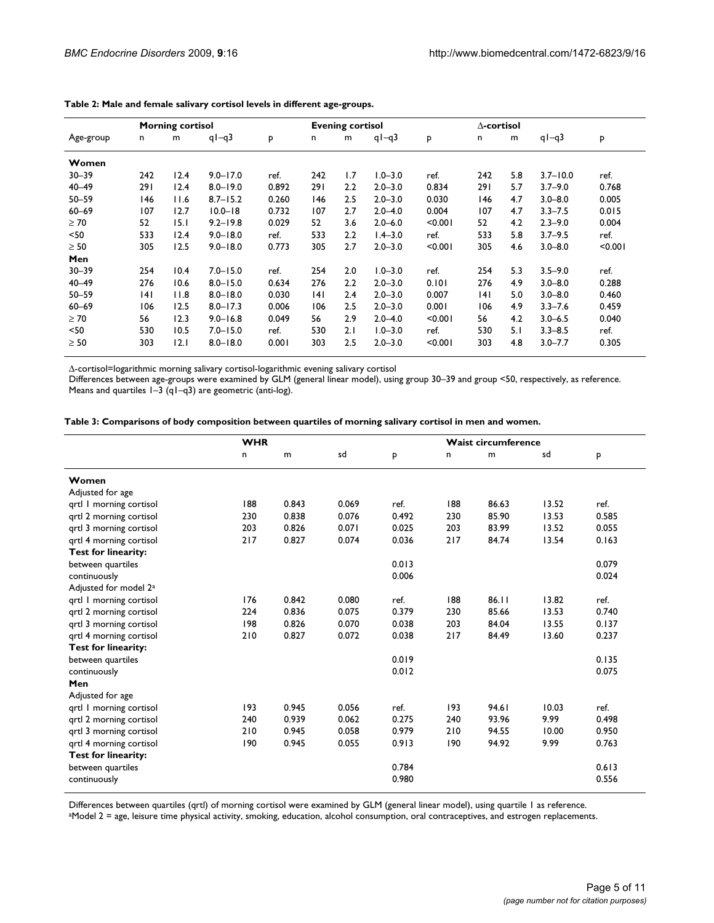|     |      |              |                         |     |     |             |                         |     |     | $\Delta$ -cortisol |         |  |  |
|-----|------|--------------|-------------------------|-----|-----|-------------|-------------------------|-----|-----|--------------------|---------|--|--|
| n   | m    | $q1-q3$      | P                       | n   | m   | $q1-q3$     | P                       | n   | m   | $q1-q3$            | P       |  |  |
|     |      |              |                         |     |     |             |                         |     |     |                    |         |  |  |
| 242 | 12.4 | $9.0 - 17.0$ | ref.                    | 242 | 1.7 | $1.0 - 3.0$ | ref.                    | 242 | 5.8 | $3.7 - 10.0$       | ref.    |  |  |
| 291 | 12.4 | $8.0 - 19.0$ | 0.892                   | 291 | 2.2 | $2.0 - 3.0$ | 0.834                   | 291 | 5.7 | $3.7 - 9.0$        | 0.768   |  |  |
| 146 | 11.6 | $8.7 - 15.2$ | 0.260                   | 146 | 2.5 | $2.0 - 3.0$ | 0.030                   | 146 | 4.7 | $3.0 - 8.0$        | 0.005   |  |  |
| 107 | 12.7 | $10.0 - 18$  | 0.732                   | 107 | 2.7 | $2.0 - 4.0$ | 0.004                   | 107 | 4.7 | $3.3 - 7.5$        | 0.015   |  |  |
| 52  | 15.1 | $9.2 - 19.8$ | 0.029                   | 52  | 3.6 | $2.0 - 6.0$ | < 0.001                 | 52  | 4.2 | $2.3 - 9.0$        | 0.004   |  |  |
| 533 | 12.4 | $9.0 - 18.0$ | ref.                    | 533 | 2.2 | $1.4 - 3.0$ | ref.                    | 533 | 5.8 | $3.7 - 9.5$        | ref.    |  |  |
| 305 | 12.5 | $9.0 - 18.0$ | 0.773                   | 305 | 2.7 | $2.0 - 3.0$ | < 0.001                 | 305 | 4.6 | $3.0 - 8.0$        | < 0.001 |  |  |
|     |      |              |                         |     |     |             |                         |     |     |                    |         |  |  |
| 254 | 10.4 | $7.0 - 15.0$ | ref.                    | 254 | 2.0 | $1.0 - 3.0$ | ref.                    | 254 | 5.3 | $3.5 - 9.0$        | ref.    |  |  |
| 276 | 10.6 | $8.0 - 15.0$ | 0.634                   | 276 | 2.2 | $2.0 - 3.0$ | 0.101                   | 276 | 4.9 | $3.0 - 8.0$        | 0.288   |  |  |
| 141 | 11.8 | $8.0 - 18.0$ | 0.030                   | 4   | 2.4 | $2.0 - 3.0$ | 0.007                   | 4   | 5.0 | $3.0 - 8.0$        | 0.460   |  |  |
| 106 | 12.5 | $8.0 - 17.3$ | 0.006                   | 106 | 2.5 | $2.0 - 3.0$ | 0.001                   | 106 | 4.9 | $3.3 - 7.6$        | 0.459   |  |  |
| 56  | 12.3 | $9.0 - 16.8$ | 0.049                   | 56  | 2.9 | $2.0 - 4.0$ | < 0.001                 | 56  | 4.2 | $3.0 - 6.5$        | 0.040   |  |  |
| 530 | 10.5 | $7.0 - 15.0$ | ref.                    | 530 | 2.1 | $1.0 - 3.0$ | ref.                    | 530 | 5.1 | $3.3 - 8.5$        | ref.    |  |  |
| 303 | 12.1 | $8.0 - 18.0$ | 0.001                   | 303 | 2.5 | $2.0 - 3.0$ | < 0.001                 | 303 | 4.8 | $3.0 - 7.7$        | 0.305   |  |  |
|     |      |              | <b>Morning cortisol</b> |     |     |             | <b>Evening cortisol</b> |     |     |                    |         |  |  |

<span id="page-4-0"></span>

|  |  |  |  | Table 2: Male and female salivary cortisol levels in different age-groups. |
|--|--|--|--|----------------------------------------------------------------------------|
|  |  |  |  |                                                                            |

 $\Delta$ -cortisol=logarithmic morning salivary cortisol-logarithmic evening salivary cortisol

Differences between age-groups were examined by GLM (general linear model), using group 30–39 and group <50, respectively, as reference. Means and quartiles 1–3 (q1–q3) are geometric (anti-log).

<span id="page-4-1"></span>**Table 3: Comparisons of body composition between quartiles of morning salivary cortisol in men and women.**

|                                   | <b>WHR</b> |       |       |       |     | <b>Waist circumference</b> |       |       |  |  |
|-----------------------------------|------------|-------|-------|-------|-----|----------------------------|-------|-------|--|--|
|                                   | n          | m     | sd    | P     | n   | m                          | sd    | P     |  |  |
| Women                             |            |       |       |       |     |                            |       |       |  |  |
| Adjusted for age                  |            |       |       |       |     |                            |       |       |  |  |
| qrtl I morning cortisol           | 188        | 0.843 | 0.069 | ref.  | 188 | 86.63                      | 13.52 | ref.  |  |  |
| grtl 2 morning cortisol           | 230        | 0.838 | 0.076 | 0.492 | 230 | 85.90                      | 13.53 | 0.585 |  |  |
| qrtl 3 morning cortisol           | 203        | 0.826 | 0.071 | 0.025 | 203 | 83.99                      | 13.52 | 0.055 |  |  |
| grtl 4 morning cortisol           | 217        | 0.827 | 0.074 | 0.036 | 217 | 84.74                      | 13.54 | 0.163 |  |  |
| <b>Test for linearity:</b>        |            |       |       |       |     |                            |       |       |  |  |
| between quartiles                 |            |       |       | 0.013 |     |                            |       | 0.079 |  |  |
| continuously                      |            |       |       | 0.006 |     |                            |       | 0.024 |  |  |
| Adjusted for model 2 <sup>a</sup> |            |       |       |       |     |                            |       |       |  |  |
| grtl I morning cortisol           | 176        | 0.842 | 0.080 | ref.  | 188 | 86.11                      | 13.82 | ref.  |  |  |
| grtl 2 morning cortisol           | 224        | 0.836 | 0.075 | 0.379 | 230 | 85.66                      | 13.53 | 0.740 |  |  |
| qrtl 3 morning cortisol           | 198        | 0.826 | 0.070 | 0.038 | 203 | 84.04                      | 13.55 | 0.137 |  |  |
| grtl 4 morning cortisol           | 210        | 0.827 | 0.072 | 0.038 | 217 | 84.49                      | 13.60 | 0.237 |  |  |
| <b>Test for linearity:</b>        |            |       |       |       |     |                            |       |       |  |  |
| between quartiles                 |            |       |       | 0.019 |     |                            |       | 0.135 |  |  |
| continuously                      |            |       |       | 0.012 |     |                            |       | 0.075 |  |  |
| Men                               |            |       |       |       |     |                            |       |       |  |  |
| Adjusted for age                  |            |       |       |       |     |                            |       |       |  |  |
| grtl I morning cortisol           | 193        | 0.945 | 0.056 | ref.  | 193 | 94.61                      | 10.03 | ref.  |  |  |
| grtl 2 morning cortisol           | 240        | 0.939 | 0.062 | 0.275 | 240 | 93.96                      | 9.99  | 0.498 |  |  |
| grtl 3 morning cortisol           | 210        | 0.945 | 0.058 | 0.979 | 210 | 94.55                      | 10.00 | 0.950 |  |  |
| grtl 4 morning cortisol           | 190        | 0.945 | 0.055 | 0.913 | 190 | 94.92                      | 9.99  | 0.763 |  |  |
| <b>Test for linearity:</b>        |            |       |       |       |     |                            |       |       |  |  |
| between quartiles                 |            |       |       | 0.784 |     |                            |       | 0.613 |  |  |
| continuously                      |            |       |       | 0.980 |     |                            |       | 0.556 |  |  |

Differences between quartiles (qrtl) of morning cortisol were examined by GLM (general linear model), using quartile 1 as reference.

aModel 2 = age, leisure time physical activity, smoking, education, alcohol consumption, oral contraceptives, and estrogen replacements.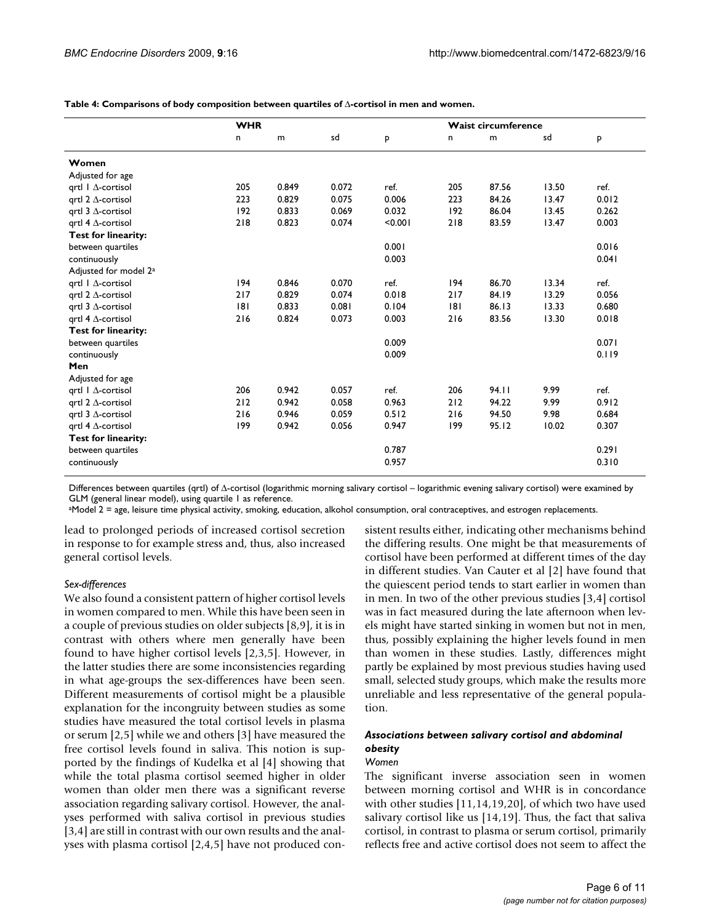|                                   | <b>WHR</b> |       |       |         | <b>Waist circumference</b> |       |       |       |  |  |
|-----------------------------------|------------|-------|-------|---------|----------------------------|-------|-------|-------|--|--|
|                                   | n          | m     | sd    | P       | n                          | m     | sd    | P     |  |  |
| Women                             |            |       |       |         |                            |       |       |       |  |  |
| Adjusted for age                  |            |       |       |         |                            |       |       |       |  |  |
| $qrt I \Delta$ -cortisol          | 205        | 0.849 | 0.072 | ref.    | 205                        | 87.56 | 13.50 | ref.  |  |  |
| qrtl 2 ∆-cortisol                 | 223        | 0.829 | 0.075 | 0.006   | 223                        | 84.26 | 13.47 | 0.012 |  |  |
| grtl $3$ $\Delta$ -cortisol       | 192        | 0.833 | 0.069 | 0.032   | 192                        | 86.04 | 13.45 | 0.262 |  |  |
| grtl 4 $\Delta$ -cortisol         | 218        | 0.823 | 0.074 | < 0.001 | 218                        | 83.59 | 13.47 | 0.003 |  |  |
| <b>Test for linearity:</b>        |            |       |       |         |                            |       |       |       |  |  |
| between quartiles                 |            |       |       | 0.001   |                            |       |       | 0.016 |  |  |
| continuously                      |            |       |       | 0.003   |                            |       |       | 0.041 |  |  |
| Adjusted for model 2 <sup>a</sup> |            |       |       |         |                            |       |       |       |  |  |
| $qrt I \Delta$ -cortisol          | 194        | 0.846 | 0.070 | ref.    | 194                        | 86.70 | 13.34 | ref.  |  |  |
| $q$ rtl 2 $\Delta$ -cortisol      | 217        | 0.829 | 0.074 | 0.018   | 217                        | 84.19 | 13.29 | 0.056 |  |  |
| grtl $3 \Delta$ -cortisol         | 8          | 0.833 | 0.081 | 0.104   | 8                          | 86.13 | 13.33 | 0.680 |  |  |
| grtl 4 $\Delta$ -cortisol         | 216        | 0.824 | 0.073 | 0.003   | 216                        | 83.56 | 13.30 | 0.018 |  |  |
| <b>Test for linearity:</b>        |            |       |       |         |                            |       |       |       |  |  |
| between quartiles                 |            |       |       | 0.009   |                            |       |       | 0.071 |  |  |
| continuously                      |            |       |       | 0.009   |                            |       |       | 0.119 |  |  |
| Men                               |            |       |       |         |                            |       |       |       |  |  |
| Adjusted for age                  |            |       |       |         |                            |       |       |       |  |  |
| $qrt I \Delta$ -cortisol          | 206        | 0.942 | 0.057 | ref.    | 206                        | 94.11 | 9.99  | ref.  |  |  |
| qrtl 2 ∆-cortisol                 | 212        | 0.942 | 0.058 | 0.963   | 212                        | 94.22 | 9.99  | 0.912 |  |  |
| grtl $3$ $\Delta$ -cortisol       | 216        | 0.946 | 0.059 | 0.512   | 216                        | 94.50 | 9.98  | 0.684 |  |  |
| grtl 4 ∆-cortisol                 | 199        | 0.942 | 0.056 | 0.947   | 199                        | 95.12 | 10.02 | 0.307 |  |  |
| <b>Test for linearity:</b>        |            |       |       |         |                            |       |       |       |  |  |
| between quartiles                 |            |       |       | 0.787   |                            |       |       | 0.291 |  |  |
| continuously                      |            |       |       | 0.957   |                            |       |       | 0.310 |  |  |
|                                   |            |       |       |         |                            |       |       |       |  |  |

<span id="page-5-0"></span>Table 4: Comparisons of body composition between quartiles of  $\Delta$ -cortisol in men and women.

Differences between quartiles (qrtl) of  $\Delta$ -cortisol (logarithmic morning salivary cortisol – logarithmic evening salivary cortisol) were examined by GLM (general linear model), using quartile 1 as reference.

aModel 2 = age, leisure time physical activity, smoking, education, alkohol consumption, oral contraceptives, and estrogen replacements.

lead to prolonged periods of increased cortisol secretion in response to for example stress and, thus, also increased general cortisol levels.

#### *Sex-differences*

We also found a consistent pattern of higher cortisol levels in women compared to men. While this have been seen in a couple of previous studies on older subjects [\[8,](#page-9-4)[9](#page-10-0)], it is in contrast with others where men generally have been found to have higher cortisol levels [[2](#page-9-1)[,3](#page-9-6)[,5\]](#page-9-3). However, in the latter studies there are some inconsistencies regarding in what age-groups the sex-differences have been seen. Different measurements of cortisol might be a plausible explanation for the incongruity between studies as some studies have measured the total cortisol levels in plasma or serum [\[2](#page-9-1),[5](#page-9-3)] while we and others [[3](#page-9-6)] have measured the free cortisol levels found in saliva. This notion is supported by the findings of Kudelka et al [\[4\]](#page-9-7) showing that while the total plasma cortisol seemed higher in older women than older men there was a significant reverse association regarding salivary cortisol. However, the analyses performed with saliva cortisol in previous studies [[3](#page-9-6)[,4\]](#page-9-7) are still in contrast with our own results and the analyses with plasma cortisol [\[2,](#page-9-1)[4,](#page-9-7)[5\]](#page-9-3) have not produced consistent results either, indicating other mechanisms behind the differing results. One might be that measurements of cortisol have been performed at different times of the day in different studies. Van Cauter et al [\[2](#page-9-1)] have found that the quiescent period tends to start earlier in women than in men. In two of the other previous studies [\[3](#page-9-6)[,4\]](#page-9-7) cortisol was in fact measured during the late afternoon when levels might have started sinking in women but not in men, thus, possibly explaining the higher levels found in men than women in these studies. Lastly, differences might partly be explained by most previous studies having used small, selected study groups, which make the results more unreliable and less representative of the general population.

# *Associations between salivary cortisol and abdominal obesity*

#### *Women*

The significant inverse association seen in women between morning cortisol and WHR is in concordance with other studies [[11,](#page-10-2)[14](#page-10-5)[,19](#page-10-8),[20\]](#page-10-17), of which two have used salivary cortisol like us [[14,](#page-10-5)[19](#page-10-8)]. Thus, the fact that saliva cortisol, in contrast to plasma or serum cortisol, primarily reflects free and active cortisol does not seem to affect the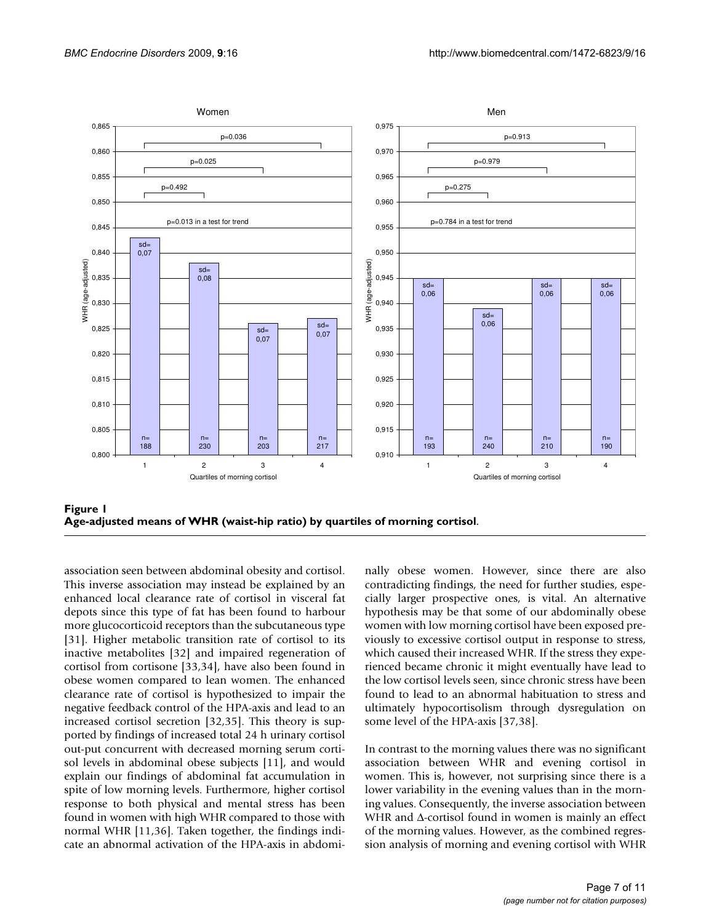<span id="page-6-0"></span>



association seen between abdominal obesity and cortisol. This inverse association may instead be explained by an enhanced local clearance rate of cortisol in visceral fat depots since this type of fat has been found to harbour more glucocorticoid receptors than the subcutaneous type [[31](#page-10-18)]. Higher metabolic transition rate of cortisol to its inactive metabolites [[32\]](#page-10-19) and impaired regeneration of cortisol from cortisone [[33](#page-10-20)[,34](#page-10-21)], have also been found in obese women compared to lean women. The enhanced clearance rate of cortisol is hypothesized to impair the negative feedback control of the HPA-axis and lead to an increased cortisol secretion [[32](#page-10-19),[35\]](#page-10-22). This theory is supported by findings of increased total 24 h urinary cortisol out-put concurrent with decreased morning serum cortisol levels in abdominal obese subjects [[11\]](#page-10-2), and would explain our findings of abdominal fat accumulation in spite of low morning levels. Furthermore, higher cortisol response to both physical and mental stress has been found in women with high WHR compared to those with normal WHR [[11](#page-10-2)[,36](#page-10-23)]. Taken together, the findings indicate an abnormal activation of the HPA-axis in abdominally obese women. However, since there are also contradicting findings, the need for further studies, especially larger prospective ones, is vital. An alternative hypothesis may be that some of our abdominally obese women with low morning cortisol have been exposed previously to excessive cortisol output in response to stress, which caused their increased WHR. If the stress they experienced became chronic it might eventually have lead to the low cortisol levels seen, since chronic stress have been found to lead to an abnormal habituation to stress and ultimately hypocortisolism through dysregulation on some level of the HPA-axis [[37](#page-10-24),[38\]](#page-10-25).

In contrast to the morning values there was no significant association between WHR and evening cortisol in women. This is, however, not surprising since there is a lower variability in the evening values than in the morning values. Consequently, the inverse association between WHR and  $\Delta$ -cortisol found in women is mainly an effect of the morning values. However, as the combined regression analysis of morning and evening cortisol with WHR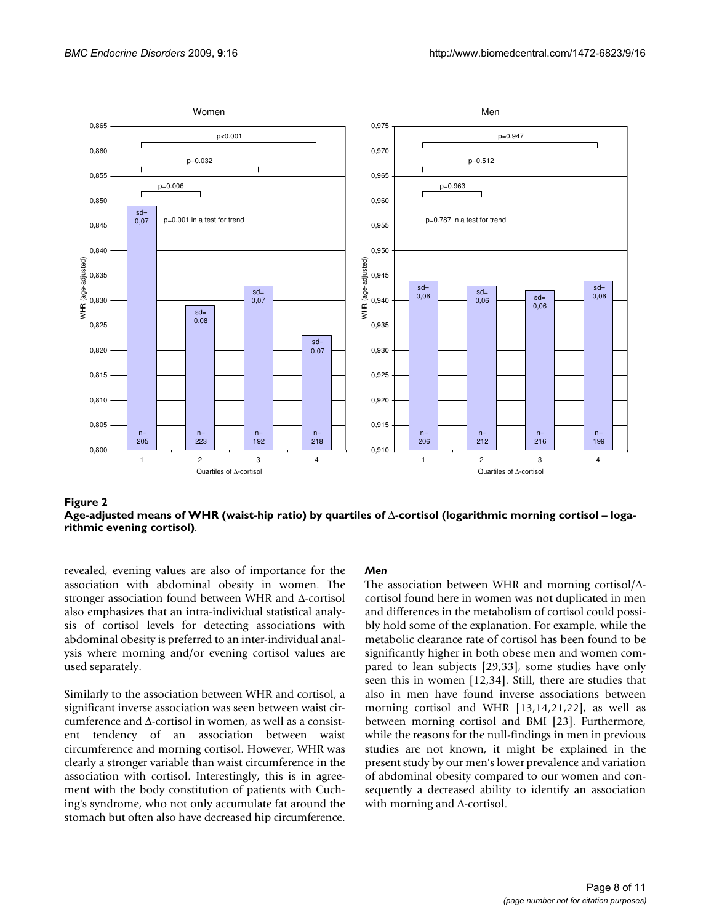<span id="page-7-0"></span>

Age-adjusted means of WHR (waist-hip ratio) by quartiles of  $\Delta$ -cortisol (logarithmic morning cortisol – loga**rithmic evening cortisol)**.

revealed, evening values are also of importance for the association with abdominal obesity in women. The stronger association found between WHR and  $\Delta$ -cortisol also emphasizes that an intra-individual statistical analysis of cortisol levels for detecting associations with abdominal obesity is preferred to an inter-individual analysis where morning and/or evening cortisol values are used separately.

Similarly to the association between WHR and cortisol, a significant inverse association was seen between waist circumference and  $\Delta$ -cortisol in women, as well as a consistent tendency of an association between waist circumference and morning cortisol. However, WHR was clearly a stronger variable than waist circumference in the association with cortisol. Interestingly, this is in agreement with the body constitution of patients with Cuching's syndrome, who not only accumulate fat around the stomach but often also have decreased hip circumference.

#### *Men*

The association between WHR and morning cortisol/ $\Delta$ cortisol found here in women was not duplicated in men and differences in the metabolism of cortisol could possibly hold some of the explanation. For example, while the metabolic clearance rate of cortisol has been found to be significantly higher in both obese men and women compared to lean subjects [[29,](#page-10-15)[33\]](#page-10-20), some studies have only seen this in women [\[12](#page-10-3),[34](#page-10-21)]. Still, there are studies that also in men have found inverse associations between morning cortisol and WHR [[13,](#page-10-4)[14](#page-10-5),[21](#page-10-26),[22\]](#page-10-27), as well as between morning cortisol and BMI [\[23\]](#page-10-9). Furthermore, while the reasons for the null-findings in men in previous studies are not known, it might be explained in the present study by our men's lower prevalence and variation of abdominal obesity compared to our women and consequently a decreased ability to identify an association with morning and  $\Delta$ -cortisol.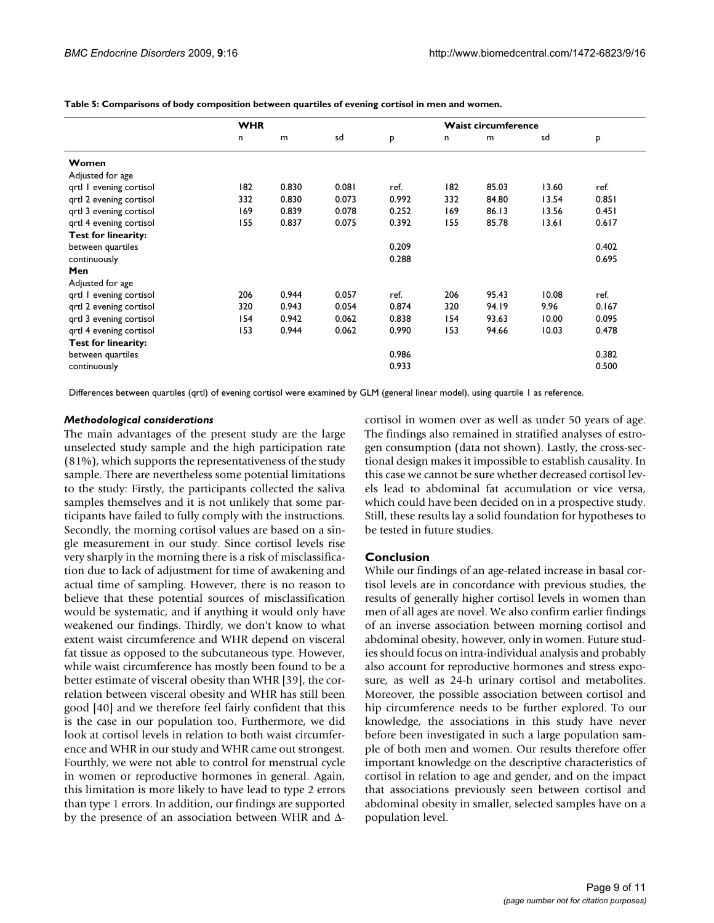|                            | <b>WHR</b> |       |       |       | <b>Waist circumference</b> |       |       |       |  |
|----------------------------|------------|-------|-------|-------|----------------------------|-------|-------|-------|--|
|                            | n          | m     | sd    | P     | n                          | m     | sd    | P     |  |
| Women                      |            |       |       |       |                            |       |       |       |  |
| Adjusted for age           |            |       |       |       |                            |       |       |       |  |
| qrtl I evening cortisol    | 182        | 0.830 | 0.081 | ref.  | 182                        | 85.03 | 13.60 | ref.  |  |
| grtl 2 evening cortisol    | 332        | 0.830 | 0.073 | 0.992 | 332                        | 84.80 | 13.54 | 0.851 |  |
| qrtl 3 evening cortisol    | 169        | 0.839 | 0.078 | 0.252 | 169                        | 86.13 | 13.56 | 0.451 |  |
| grtl 4 evening cortisol    | 155        | 0.837 | 0.075 | 0.392 | 155                        | 85.78 | 13.61 | 0.617 |  |
| <b>Test for linearity:</b> |            |       |       |       |                            |       |       |       |  |
| between quartiles          |            |       |       | 0.209 |                            |       |       | 0.402 |  |
| continuously               |            |       |       | 0.288 |                            |       |       | 0.695 |  |
| Men                        |            |       |       |       |                            |       |       |       |  |
| Adjusted for age           |            |       |       |       |                            |       |       |       |  |
| grtl I evening cortisol    | 206        | 0.944 | 0.057 | ref.  | 206                        | 95.43 | 10.08 | ref.  |  |
| grtl 2 evening cortisol    | 320        | 0.943 | 0.054 | 0.874 | 320                        | 94.19 | 9.96  | 0.167 |  |
| grtl 3 evening cortisol    | 154        | 0.942 | 0.062 | 0.838 | 154                        | 93.63 | 10.00 | 0.095 |  |
| qrtl 4 evening cortisol    | 153        | 0.944 | 0.062 | 0.990 | 153                        | 94.66 | 10.03 | 0.478 |  |
| <b>Test for linearity:</b> |            |       |       |       |                            |       |       |       |  |
| between quartiles          |            |       |       | 0.986 |                            |       |       | 0.382 |  |
| continuously               |            |       |       | 0.933 |                            |       |       | 0.500 |  |

<span id="page-8-0"></span>**Table 5: Comparisons of body composition between quartiles of evening cortisol in men and women.**

Differences between quartiles (qrtl) of evening cortisol were examined by GLM (general linear model), using quartile 1 as reference.

#### *Methodological considerations*

The main advantages of the present study are the large unselected study sample and the high participation rate (81%), which supports the representativeness of the study sample. There are nevertheless some potential limitations to the study: Firstly, the participants collected the saliva samples themselves and it is not unlikely that some participants have failed to fully comply with the instructions. Secondly, the morning cortisol values are based on a single measurement in our study. Since cortisol levels rise very sharply in the morning there is a risk of misclassification due to lack of adjustment for time of awakening and actual time of sampling. However, there is no reason to believe that these potential sources of misclassification would be systematic, and if anything it would only have weakened our findings. Thirdly, we don't know to what extent waist circumference and WHR depend on visceral fat tissue as opposed to the subcutaneous type. However, while waist circumference has mostly been found to be a better estimate of visceral obesity than WHR [\[39](#page-10-28)], the correlation between visceral obesity and WHR has still been good [\[40\]](#page-10-29) and we therefore feel fairly confident that this is the case in our population too. Furthermore, we did look at cortisol levels in relation to both waist circumference and WHR in our study and WHR came out strongest. Fourthly, we were not able to control for menstrual cycle in women or reproductive hormones in general. Again, this limitation is more likely to have lead to type 2 errors than type 1 errors. In addition, our findings are supported by the presence of an association between WHR and  $\Delta$ - cortisol in women over as well as under 50 years of age. The findings also remained in stratified analyses of estrogen consumption (data not shown). Lastly, the cross-sectional design makes it impossible to establish causality. In this case we cannot be sure whether decreased cortisol levels lead to abdominal fat accumulation or vice versa, which could have been decided on in a prospective study. Still, these results lay a solid foundation for hypotheses to be tested in future studies.

#### **Conclusion**

While our findings of an age-related increase in basal cortisol levels are in concordance with previous studies, the results of generally higher cortisol levels in women than men of all ages are novel. We also confirm earlier findings of an inverse association between morning cortisol and abdominal obesity, however, only in women. Future studies should focus on intra-individual analysis and probably also account for reproductive hormones and stress exposure, as well as 24-h urinary cortisol and metabolites. Moreover, the possible association between cortisol and hip circumference needs to be further explored. To our knowledge, the associations in this study have never before been investigated in such a large population sample of both men and women. Our results therefore offer important knowledge on the descriptive characteristics of cortisol in relation to age and gender, and on the impact that associations previously seen between cortisol and abdominal obesity in smaller, selected samples have on a population level.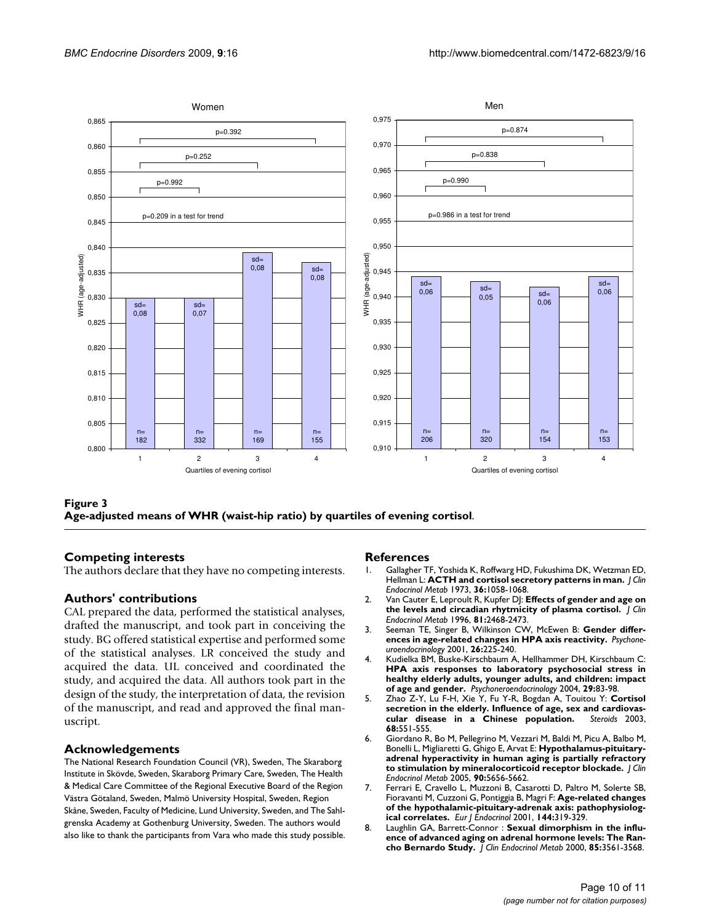<span id="page-9-5"></span>

Figure 3 **Age-adjusted means of WHR (waist-hip ratio) by quartiles of evening cortisol**.

#### **Competing interests**

The authors declare that they have no competing interests.

#### **Authors' contributions**

CAL prepared the data, performed the statistical analyses, drafted the manuscript, and took part in conceiving the study. BG offered statistical expertise and performed some of the statistical analyses. LR conceived the study and acquired the data. UL conceived and coordinated the study, and acquired the data. All authors took part in the design of the study, the interpretation of data, the revision of the manuscript, and read and approved the final manuscript.

#### **Acknowledgements**

The National Research Foundation Council (VR), Sweden, The Skaraborg Institute in Skövde, Sweden, Skaraborg Primary Care, Sweden, The Health & Medical Care Committee of the Regional Executive Board of the Region Västra Götaland, Sweden, Malmö University Hospital, Sweden, Region Skåne, Sweden, Faculty of Medicine, Lund University, Sweden, and The Sahlgrenska Academy at Gothenburg University, Sweden. The authors would also like to thank the participants from Vara who made this study possible.

#### **References**

- <span id="page-9-0"></span>1. Gallagher TF, Yoshida K, Roffwarg HD, Fukushima DK, Wetzman ED, Hellman L: **[ACTH and cortisol secretory patterns in man.](http://www.ncbi.nlm.nih.gov/entrez/query.fcgi?cmd=Retrieve&db=PubMed&dopt=Abstract&list_uids=4350348)** *J Clin Endocrinol Metab* 1973, **36:**1058-1068.
- <span id="page-9-1"></span>2. Van Cauter E, Leproult R, Kupfer DJ: **[Effects of gender and age on](http://www.ncbi.nlm.nih.gov/entrez/query.fcgi?cmd=Retrieve&db=PubMed&dopt=Abstract&list_uids=8675562) [the levels and circadian rhytmicity of plasma cortisol.](http://www.ncbi.nlm.nih.gov/entrez/query.fcgi?cmd=Retrieve&db=PubMed&dopt=Abstract&list_uids=8675562)** *J Clin Endocrinol Metab* 1996, **81:**2468-2473.
- <span id="page-9-6"></span>3. Seeman TE, Singer B, Wilkinson CW, McEwen B: **[Gender differ](http://www.ncbi.nlm.nih.gov/entrez/query.fcgi?cmd=Retrieve&db=PubMed&dopt=Abstract&list_uids=11166486)[ences in age-related changes in HPA axis reactivity.](http://www.ncbi.nlm.nih.gov/entrez/query.fcgi?cmd=Retrieve&db=PubMed&dopt=Abstract&list_uids=11166486)** *Psychoneuroendocrinology* 2001, **26:**225-240.
- <span id="page-9-7"></span>4. Kudielka BM, Buske-Kirschbaum A, Hellhammer DH, Kirschbaum C: **HPA axis responses to laboratory psychosocial stress in healthy elderly adults, younger adults, and children: impact of age and gender.** *Psychoneroendocrinology* 2004, **29:**83-98.
- <span id="page-9-3"></span>5. Zhao Z-Y, Lu F-H, Xie Y, Fu Y-R, Bogdan A, Touitou Y: **[Cortisol](http://www.ncbi.nlm.nih.gov/entrez/query.fcgi?cmd=Retrieve&db=PubMed&dopt=Abstract&list_uids=12906940) [secretion in the elderly. Influence of age, sex and cardiovas](http://www.ncbi.nlm.nih.gov/entrez/query.fcgi?cmd=Retrieve&db=PubMed&dopt=Abstract&list_uids=12906940)**[cular disease in a Chinese population.](http://www.ncbi.nlm.nih.gov/entrez/query.fcgi?cmd=Retrieve&db=PubMed&dopt=Abstract&list_uids=12906940) **68:**551-555.
- 6. Giordano R, Bo M, Pellegrino M, Vezzari M, Baldi M, Picu A, Balbo M, Bonelli L, Migliaretti G, Ghigo E, Arvat E: **[Hypothalamus-pituitary](http://www.ncbi.nlm.nih.gov/entrez/query.fcgi?cmd=Retrieve&db=PubMed&dopt=Abstract&list_uids=16014406)[adrenal hyperactivity in human aging is partially refractory](http://www.ncbi.nlm.nih.gov/entrez/query.fcgi?cmd=Retrieve&db=PubMed&dopt=Abstract&list_uids=16014406) [to stimulation by mineralocorticoid receptor blockade.](http://www.ncbi.nlm.nih.gov/entrez/query.fcgi?cmd=Retrieve&db=PubMed&dopt=Abstract&list_uids=16014406)** *J Clin Endocrinol Metab* 2005, **90:**5656-5662.
- <span id="page-9-2"></span>7. Ferrari E, Cravello L, Muzzoni B, Casarotti D, Paltro M, Solerte SB, Fioravanti M, Cuzzoni G, Pontiggia B, Magri F: **[Age-related changes](http://www.ncbi.nlm.nih.gov/entrez/query.fcgi?cmd=Retrieve&db=PubMed&dopt=Abstract&list_uids=11275940) [of the hypothalamic-pituitary-adrenak axis: pathophysiolog](http://www.ncbi.nlm.nih.gov/entrez/query.fcgi?cmd=Retrieve&db=PubMed&dopt=Abstract&list_uids=11275940)[ical correlates.](http://www.ncbi.nlm.nih.gov/entrez/query.fcgi?cmd=Retrieve&db=PubMed&dopt=Abstract&list_uids=11275940)** *Eur J Endocrinol* 2001, **144:**319-329.
- <span id="page-9-4"></span>8. Laughlin GA, Barrett-Connor : **[Sexual dimorphism in the influ](http://www.ncbi.nlm.nih.gov/entrez/query.fcgi?cmd=Retrieve&db=PubMed&dopt=Abstract&list_uids=11061502)[ence of advanced aging on adrenal hormone levels: The Ran](http://www.ncbi.nlm.nih.gov/entrez/query.fcgi?cmd=Retrieve&db=PubMed&dopt=Abstract&list_uids=11061502)[cho Bernardo Study.](http://www.ncbi.nlm.nih.gov/entrez/query.fcgi?cmd=Retrieve&db=PubMed&dopt=Abstract&list_uids=11061502)** *J Clin Endocrinol Metab* 2000, **85:**3561-3568.